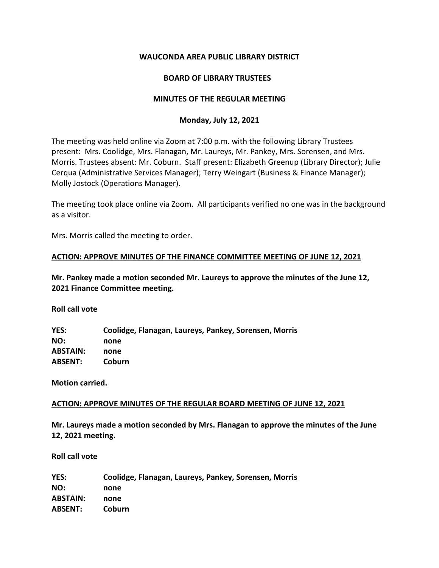# **WAUCONDA AREA PUBLIC LIBRARY DISTRICT**

### **BOARD OF LIBRARY TRUSTEES**

### **MINUTES OF THE REGULAR MEETING**

### **Monday, July 12, 2021**

The meeting was held online via Zoom at 7:00 p.m. with the following Library Trustees present: Mrs. Coolidge, Mrs. Flanagan, Mr. Laureys, Mr. Pankey, Mrs. Sorensen, and Mrs. Morris. Trustees absent: Mr. Coburn. Staff present: Elizabeth Greenup (Library Director); Julie Cerqua (Administrative Services Manager); Terry Weingart (Business & Finance Manager); Molly Jostock (Operations Manager).

The meeting took place online via Zoom. All participants verified no one was in the background as a visitor.

Mrs. Morris called the meeting to order.

### **ACTION: APPROVE MINUTES OF THE FINANCE COMMITTEE MEETING OF JUNE 12, 2021**

**Mr. Pankey made a motion seconded Mr. Laureys to approve the minutes of the June 12, 2021 Finance Committee meeting.** 

**Roll call vote**

**YES: Coolidge, Flanagan, Laureys, Pankey, Sorensen, Morris NO: none ABSTAIN: none ABSENT: Coburn**

**Motion carried.**

# **ACTION: APPROVE MINUTES OF THE REGULAR BOARD MEETING OF JUNE 12, 2021**

**Mr. Laureys made a motion seconded by Mrs. Flanagan to approve the minutes of the June 12, 2021 meeting.** 

**Roll call vote**

**YES: Coolidge, Flanagan, Laureys, Pankey, Sorensen, Morris NO: none ABSTAIN: none ABSENT: Coburn**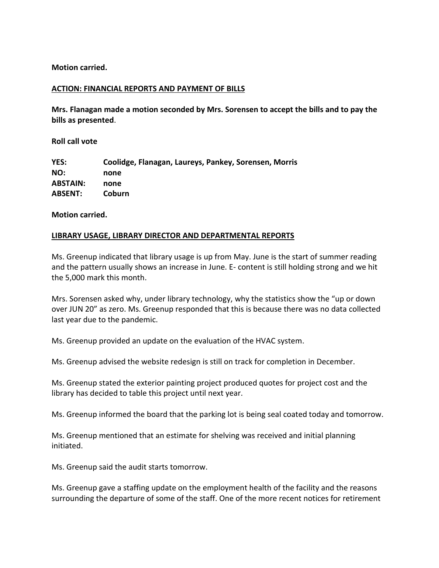**Motion carried.**

### **ACTION: FINANCIAL REPORTS AND PAYMENT OF BILLS**

**Mrs. Flanagan made a motion seconded by Mrs. Sorensen to accept the bills and to pay the bills as presented**.

**Roll call vote** 

**YES: Coolidge, Flanagan, Laureys, Pankey, Sorensen, Morris NO: none ABSTAIN: none ABSENT: Coburn**

#### **Motion carried.**

#### **LIBRARY USAGE, LIBRARY DIRECTOR AND DEPARTMENTAL REPORTS**

Ms. Greenup indicated that library usage is up from May. June is the start of summer reading and the pattern usually shows an increase in June. E- content is still holding strong and we hit the 5,000 mark this month.

Mrs. Sorensen asked why, under library technology, why the statistics show the "up or down over JUN 20" as zero. Ms. Greenup responded that this is because there was no data collected last year due to the pandemic.

Ms. Greenup provided an update on the evaluation of the HVAC system.

Ms. Greenup advised the website redesign is still on track for completion in December.

Ms. Greenup stated the exterior painting project produced quotes for project cost and the library has decided to table this project until next year.

Ms. Greenup informed the board that the parking lot is being seal coated today and tomorrow.

Ms. Greenup mentioned that an estimate for shelving was received and initial planning initiated.

Ms. Greenup said the audit starts tomorrow.

Ms. Greenup gave a staffing update on the employment health of the facility and the reasons surrounding the departure of some of the staff. One of the more recent notices for retirement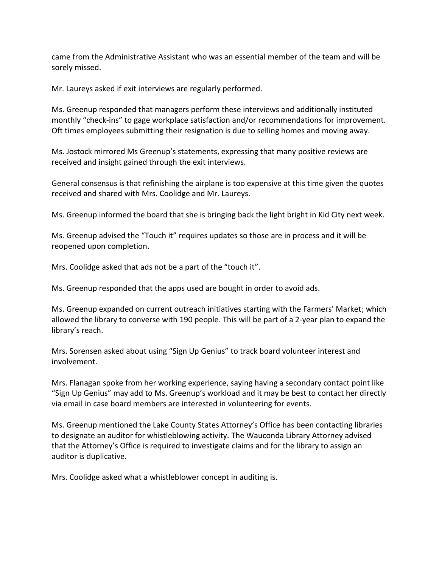came from the Administrative Assistant who was an essential member of the team and will be sorely missed.

Mr. Laureys asked if exit interviews are regularly performed.

Ms. Greenup responded that managers perform these interviews and additionally instituted monthly "check-ins" to gage workplace satisfaction and/or recommendations for improvement. Oft times employees submitting their resignation is due to selling homes and moving away.

Ms. Jostock mirrored Ms Greenup's statements, expressing that many positive reviews are received and insight gained through the exit interviews.

General consensus is that refinishing the airplane is too expensive at this time given the quotes received and shared with Mrs. Coolidge and Mr. Laureys.

Ms. Greenup informed the board that she is bringing back the light bright in Kid City next week.

Ms. Greenup advised the "Touch it" requires updates so those are in process and it will be reopened upon completion.

Mrs. Coolidge asked that ads not be a part of the "touch it".

Ms. Greenup responded that the apps used are bought in order to avoid ads.

Ms. Greenup expanded on current outreach initiatives starting with the Farmers' Market; which allowed the library to converse with 190 people. This will be part of a 2-year plan to expand the library's reach.

Mrs. Sorensen asked about using "Sign Up Genius" to track board volunteer interest and involvement.

Mrs. Flanagan spoke from her working experience, saying having a secondary contact point like "Sign Up Genius" may add to Ms. Greenup's workload and it may be best to contact her directly via email in case board members are interested in volunteering for events.

Ms. Greenup mentioned the Lake County States Attorney's Office has been contacting libraries to designate an auditor for whistleblowing activity. The Wauconda Library Attorney advised that the Attorney's Office is required to investigate claims and for the library to assign an auditor is duplicative.

Mrs. Coolidge asked what a whistleblower concept in auditing is.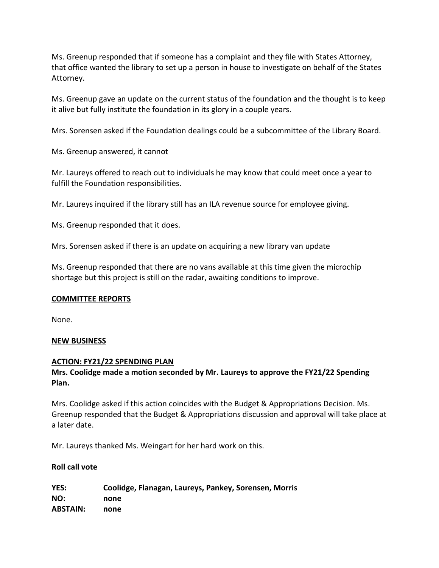Ms. Greenup responded that if someone has a complaint and they file with States Attorney, that office wanted the library to set up a person in house to investigate on behalf of the States Attorney.

Ms. Greenup gave an update on the current status of the foundation and the thought is to keep it alive but fully institute the foundation in its glory in a couple years.

Mrs. Sorensen asked if the Foundation dealings could be a subcommittee of the Library Board.

Ms. Greenup answered, it cannot

Mr. Laureys offered to reach out to individuals he may know that could meet once a year to fulfill the Foundation responsibilities.

Mr. Laureys inquired if the library still has an ILA revenue source for employee giving.

Ms. Greenup responded that it does.

Mrs. Sorensen asked if there is an update on acquiring a new library van update

Ms. Greenup responded that there are no vans available at this time given the microchip shortage but this project is still on the radar, awaiting conditions to improve.

#### **COMMITTEE REPORTS**

None.

# **NEW BUSINESS**

#### **ACTION: FY21/22 SPENDING PLAN**

# **Mrs. Coolidge made a motion seconded by Mr. Laureys to approve the FY21/22 Spending Plan.**

Mrs. Coolidge asked if this action coincides with the Budget & Appropriations Decision. Ms. Greenup responded that the Budget & Appropriations discussion and approval will take place at a later date.

Mr. Laureys thanked Ms. Weingart for her hard work on this.

# **Roll call vote**

| YES:            | Coolidge, Flanagan, Laureys, Pankey, Sorensen, Morris |
|-----------------|-------------------------------------------------------|
| NO:             | none                                                  |
| <b>ABSTAIN:</b> | none                                                  |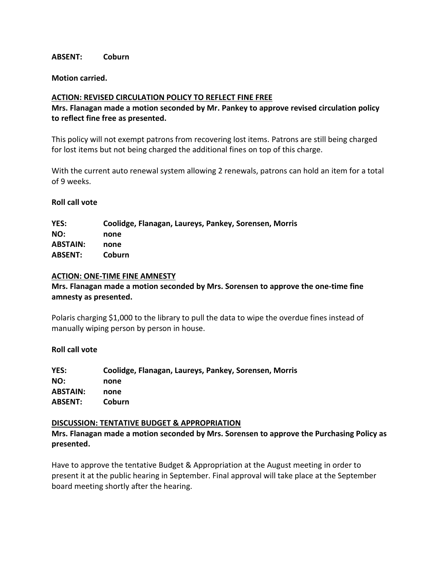### **ABSENT: Coburn**

**Motion carried.**

# **ACTION: REVISED CIRCULATION POLICY TO REFLECT FINE FREE**

**Mrs. Flanagan made a motion seconded by Mr. Pankey to approve revised circulation policy to reflect fine free as presented.**

This policy will not exempt patrons from recovering lost items. Patrons are still being charged for lost items but not being charged the additional fines on top of this charge.

With the current auto renewal system allowing 2 renewals, patrons can hold an item for a total of 9 weeks.

### **Roll call vote**

| YES:            | Coolidge, Flanagan, Laureys, Pankey, Sorensen, Morris |
|-----------------|-------------------------------------------------------|
| NO:             | none                                                  |
| <b>ABSTAIN:</b> | none                                                  |
| <b>ABSENT:</b>  | <b>Coburn</b>                                         |

#### **ACTION: ONE-TIME FINE AMNESTY**

# **Mrs. Flanagan made a motion seconded by Mrs. Sorensen to approve the one-time fine amnesty as presented.**

Polaris charging \$1,000 to the library to pull the data to wipe the overdue fines instead of manually wiping person by person in house.

# **Roll call vote**

**YES: Coolidge, Flanagan, Laureys, Pankey, Sorensen, Morris NO: none ABSTAIN: none ABSENT: Coburn**

#### **DISCUSSION: TENTATIVE BUDGET & APPROPRIATION**

# **Mrs. Flanagan made a motion seconded by Mrs. Sorensen to approve the Purchasing Policy as presented.**

Have to approve the tentative Budget & Appropriation at the August meeting in order to present it at the public hearing in September. Final approval will take place at the September board meeting shortly after the hearing.